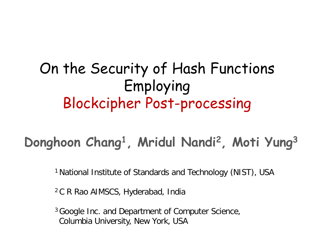#### On the Security of Hash Functions Employing Blockcipher Post-processing

#### **Donghoon Chang1 , Mridul Nandi2 , Moti Yung3**

1 National Institute of Standards and Technology (NIST), USA

2 C R Rao AIMSCS, Hyderabad, India

<sup>3</sup> Google Inc. and Department of Computer Science, Columbia University, New York, USA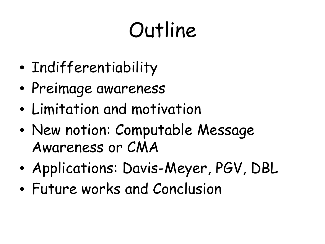## Outline

- Indifferentiability
- Preimage awareness
- Limitation and motivation
- New notion: Computable Message Awareness or CMA
- Applications: Davis-Meyer, PGV, DBL
- Future works and Conclusion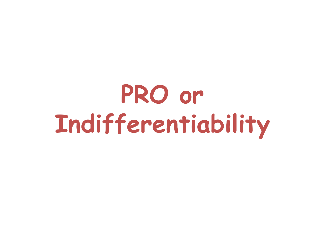# **PRO or Indifferentiability**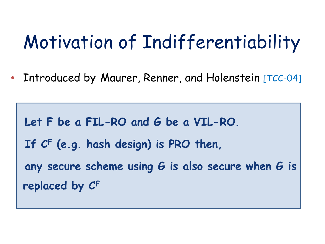### Motivation of Indifferentiability

• Introduced by Maurer, Renner, and Holenstein [TCC-04]

**Let F be a FIL-RO and G be a VIL-RO. If CF (e.g. hash design) is PRO then, any secure scheme using G is also secure when G is replaced by CF**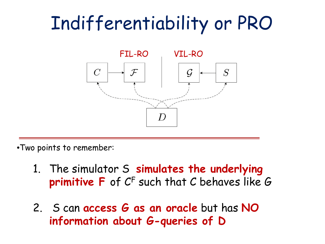### Indifferentiability or PRO



- •Two points to remember:
	- 1. The simulator S **simulates the underlying primitive F** of CF such that C behaves like G
	- 2. S can **access G as an oracle** but has **NO information about G-queries of D**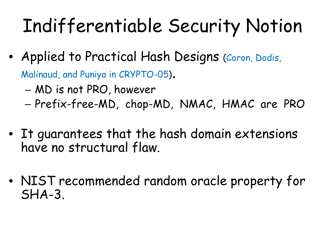### Indifferentiable Security Notion

• Applied to Practical Hash Designs (Coron, Dodis,

Malinaud, and Puniya in CRYPTO-05).

- MD is not PRO, however
- Prefix-free-MD, chop-MD, NMAC, HMAC are PRO
- It guarantees that the hash domain extensions have no structural flaw.
- NIST recommended random oracle property for SHA-3.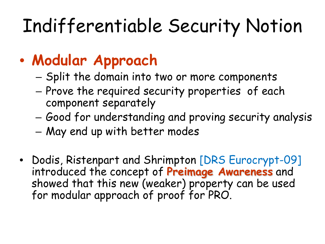### Indifferentiable Security Notion

#### • **Modular Approach**

- Split the domain into two or more components
- Prove the required security properties of each component separately
- Good for understanding and proving security analysis
- May end up with better modes
- Dodis, Ristenpart and Shrimpton [DRS Eurocrypt-09] introduced the concept of **Preimage Awareness** and showed that this new (weaker) property can be used for modular approach of proof for PRO.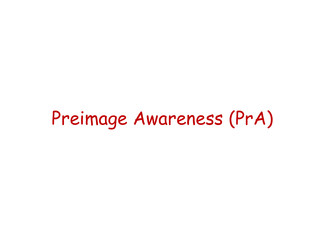### Preimage Awareness (PrA)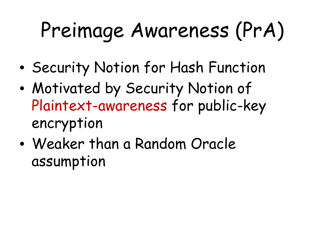# Preimage Awareness (PrA)

- Security Notion for Hash Function
- Motivated by Security Notion of Plaintext-awareness for public-key encryption
- Weaker than a Random Oracle assumption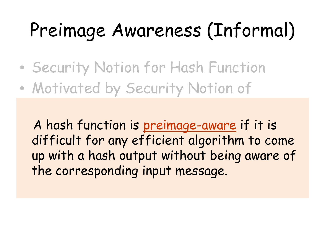### Preimage Awareness (Informal)

- Security Notion for Hash Function
- Motivated by Security Notion of

A hash function is preimage-aware if it is difficult for any efficient algorithm to come up with a nast up with a hash output without being aware of the corresponding input message.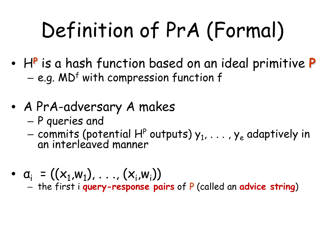# Definition of PrA (Formal)

- H**<sup>P</sup>** is a hash function based on an ideal primitive **P** – e.g. MDf with compression function f
- A PrA-adversary A makes
	- P queries and
	- commits (potential H<sup>P</sup> outputs)  $y_1, \ldots, y_e$  adaptively in an interleaved manner
- $a_i = ((x_1, w_1), \ldots, (x_i, w_i))$ – the first i **query-response pairs** of P (called an **advice string**)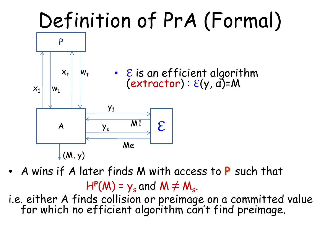## Definition of PrA (Formal)



- A wins if A later finds M with access to **P** such that  $H^p(M) = y_s$  and  $M \neq M_s$ .
- i.e. either A finds collision or preimage on a committed value for which no efficient algorithm can't find preimage.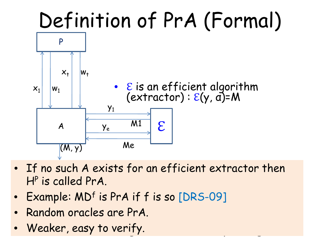## Definition of PrA (Formal)



- $\bullet$  If no such A exists for an efficient extractor then • A wins if A later finds M with access to **P** such that HP is called PrA.
- Example: MD<sup>f</sup> is PrA if f is so [DRS-09]
- $\frac{1}{2}$  finds collision or present of  $\frac{1}{2}$  finds contained values on a committed values of  $\frac{1}{2}$ • Random oracles are PrA.
- which no efficient algorithm can't find preimage. Weaker, easy to verify.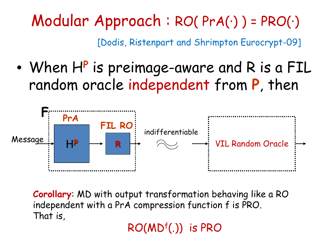Modular Approach : RO( PrA(·) ) = PRO(·)

[Dodis, Ristenpart and Shrimpton Eurocrypt-09]

• When H**<sup>P</sup>**is preimage-aware and R is a FIL random oracle independent from **P**, then



**Corollary**: MD with output transformation behaving like a RO independent with a PrA compression function f is PRO. That is,

RO(MDf(.)) is PRO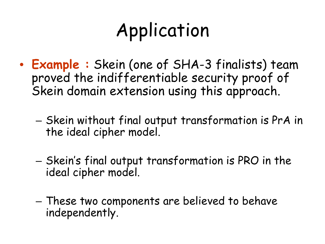### Application

- **Example :** Skein (one of SHA-3 finalists) team proved the indifferentiable security proof of Skein domain extension using this approach.
	- Skein without final output transformation is PrA in the ideal cipher model.
	- Skein's final output transformation is PRO in the ideal cipher model.
	- These two components are believed to behave independently.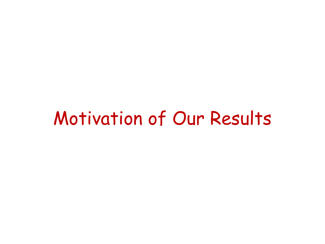#### Motivation of Our Results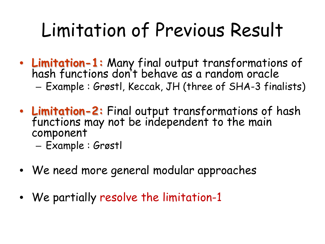### Limitation of Previous Result

- **Limitation-1:** Many final output transformations of hash functions don't behave as a random oracle – Example : Grøstl, Keccak, JH (three of SHA-3 finalists)
- **Limitation-2:** Final output transformations of hash functions may not be independent to the main component
	- Example : Grøstl
- We need more general modular approaches
- We partially resolve the limitation-1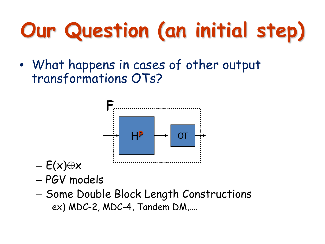• What happens in cases of other output transformations OTs?



- $E(x) \oplus x$
- PGV models
- Some Double Block Length Constructions ex) MDC-2, MDC-4, Tandem DM,….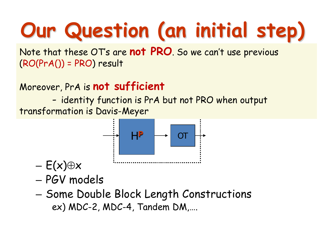$({\sf RO}({\sf Pr} {\sf A}())$  = PRO) result Note that these OT's are **not PRO**. So we can't use previous

transformations of the contract of the contract of the contract of the contract of the contract of the contract of the contract of the contract of the contract of the contract of the contract of the contract of the contrac Moreover, PrA is **not sufficient**

**F** transformation is Davis-Meyer- identity function is PrA but not PRO when output



- $E(x) \oplus x$
- PGV models
- Some Double Block Length Constructions ex) MDC-2, MDC-4, Tandem DM,….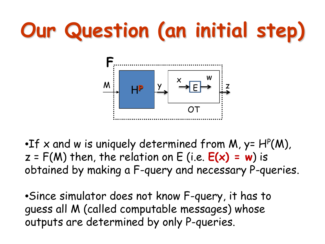

•If x and w is uniquely determined from M,  $y = H<sup>P</sup>(M)$ ,  $z = F(M)$  then, the relation on  $E$  (i.e.  $E(x) = w$ ) is obtained by making a F-query and necessary P-queries.

•Since simulator does not know F-query, it has to guess all M (called computable messages) whose outputs are determined by only P-queries.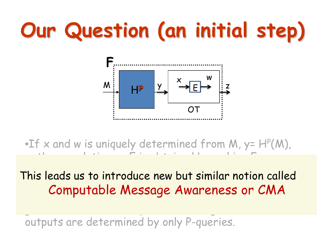

•If x and w is uniquely determined from M, y=  $H^p(M)$ , z then a relation on E is obtained by making  $\mathbb{R}^n$  is obtained by making  $\mathbb{R}^n$ 

ic loods us: computable message rividi eness of cho This leads us to introduce new but similar notion called Computable Message Awareness or CMA

outputs are determined by only P-queries.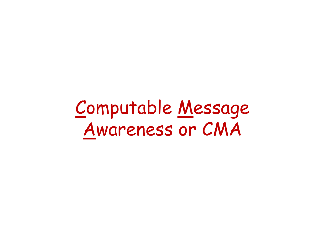Computable Message Awareness or CMA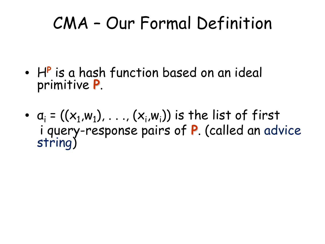#### CMA – Our Formal Definition

- H**<sup>P</sup>** is a hash function based on an ideal primitive **P**.
- $a_i = ((x_1, w_1), \ldots, (x_i, w_i))$  is the list of first i query-response pairs of **P**. (called an advice string)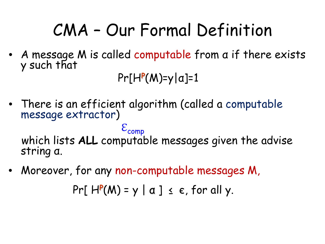#### CMA – Our Formal Definition

• A message M is called computable from α if there exists y such that

Pr[H**<sup>P</sup>**(M)=y|α]=1

• There is an efficient algorithm (called a computable message extractor)

 $\mathcal{E}_{comp}$ which lists **ALL** computable messages given the advise string α.

• Moreover, for any non-computable messages M,

Pr[ $H^P(M) = y | a] \le \epsilon$ , for all y.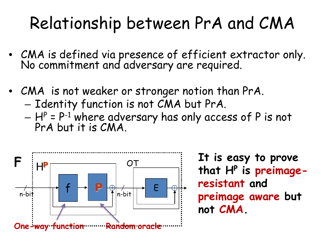#### Relationship between PrA and CMA

- CMA is defined via presence of efficient extractor only. No commitment and adversary are required.
- CMA is not weaker or stronger notion than PrA.
	- Identity function is not CMA but PrA.
	- $H^P = P^{-1}$  where adversary has only access of P is not<br>PrA but it is CMA.



**It is easy to prove that HP is preimageresistant and preimage aware but not CMA.**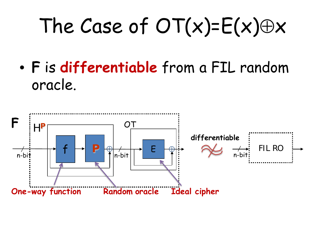# The Case of  $OT(x) = E(x) \oplus x$

• **F** is **differentiable** from a FIL random oracle.

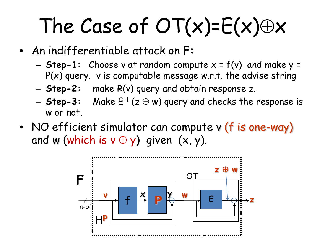# The Case of  $OT(x)=E(x)\oplus x$

- An indifferentiable attack on **F:**
	- **Step-1:** Choose v at random compute x = f(v) and make y =  $P(x)$  query. v is computable message w.r.t. the advise string
	- **Step-2:** make R(v) query and obtain response z.
	- $-$  **Step-3:** Make  $E^{-1}$  ( $z \oplus w$ ) query and checks the response is w or not.
- NO efficient simulator can compute v (f is one-way) and w (which is  $v \oplus y$ ) given  $(x, y)$ .

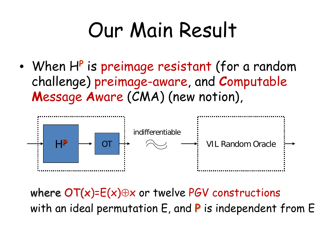## Our Main Result

• When H**<sup>P</sup>**is preimage resistant (for a random challenge) preimage-aware, and **C**omputable **M**essage **A**ware (CMA) (new notion),



where  $OT(x)=E(x)\oplus x$  or twelve PGV constructions with an ideal permutation E, and **P** is independent from E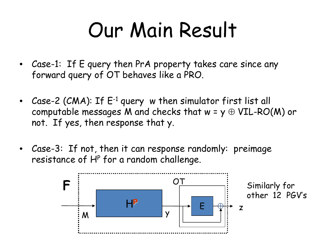## Our Main Result

- Case-1: If E query then PrA property takes care since any forward query of OT behaves like a PRO.
- Case-2 (CMA): If E<sup>-1</sup> query w then simulator first list all computable messages M and checks that  $w = y \oplus VIL-RO(M)$  or not. If yes, then response that y.
- Case-3: If not, then it can response randomly: preimage resistance of  $H<sup>P</sup>$  for a random challenge.

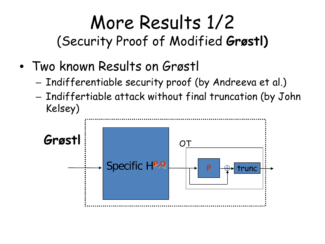#### More Results 1/2 (Security Proof of Modified **Grøstl)**

- Two known Results on Grøstl
	- Indifferentiable security proof (by Andreeva et al.)
	- Indiffertiable attack without final truncation (by John Kelsey)

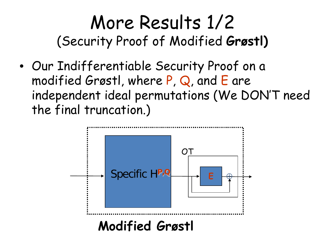#### More Results 1/2 (Security Proof of Modified **Grøstl)**

• Our Indifferentiable Security Proof on a modified Grøstl, where P, Q, and E are independent ideal permutations (We DON'T need the final truncation.)

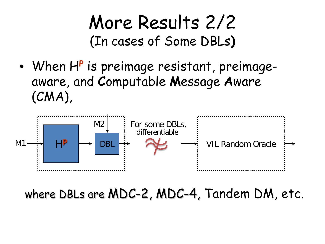#### More Results 2/2 (In cases of Some DBLs**)**

• When H**<sup>P</sup>**is preimage resistant, preimageaware, and **C**omputable **M**essage **A**ware (CMA),



where DBLs are MDC-2, MDC-4, Tandem DM, etc.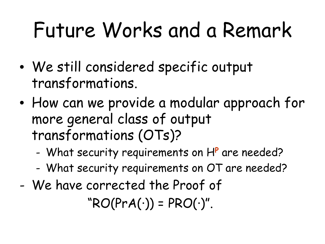## Future Works and a Remark

- We still considered specific output transformations.
- How can we provide a modular approach for more general class of output transformations (OTs)?
	- What security requirements on H**<sup>P</sup>** are needed?
	- What security requirements on OT are needed?
- We have corrected the Proof of

 $"RO(PrA(\cdot)) = PRO(\cdot)''.$